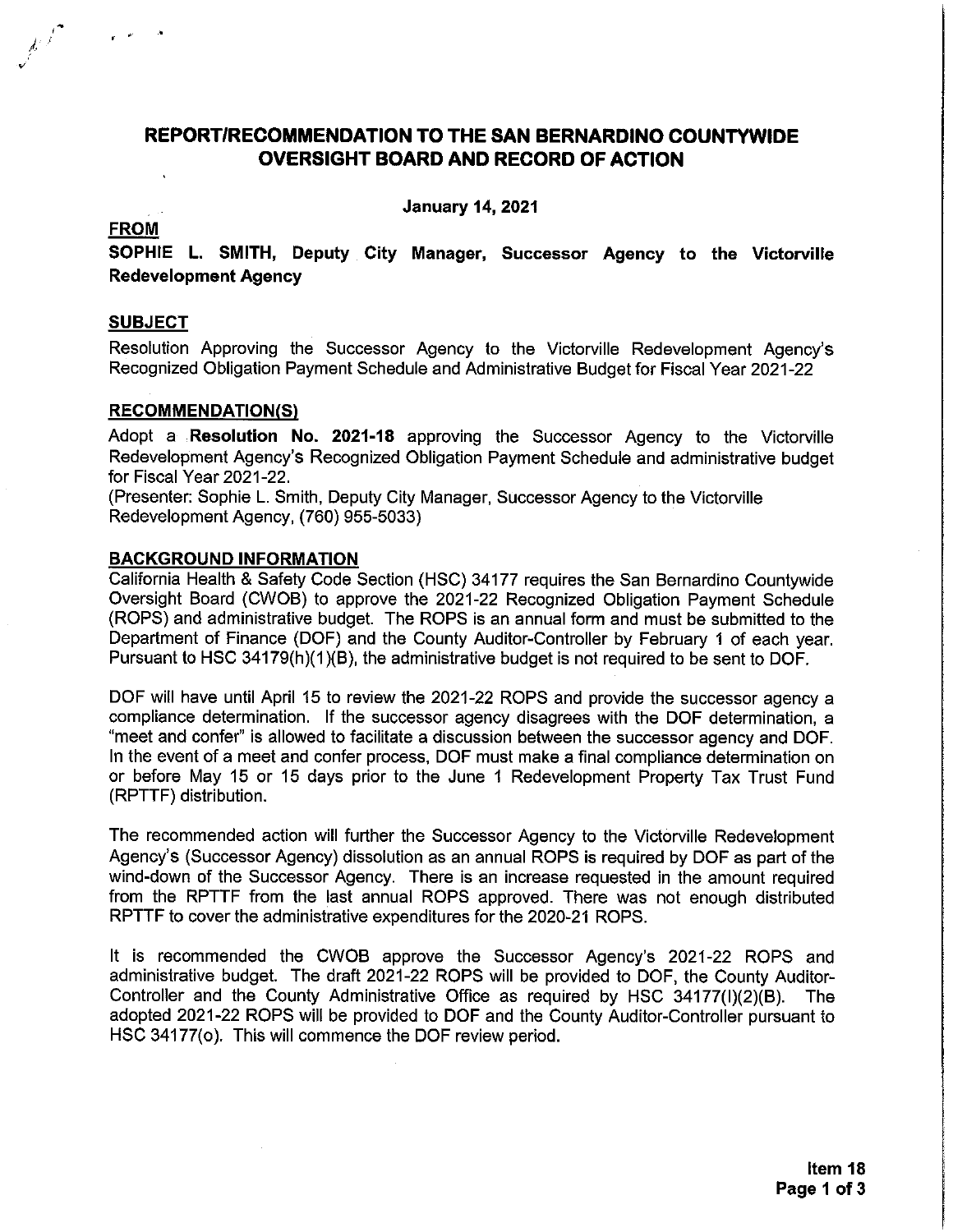## REPORT/RECOMMENDATION TO THE SAN BERNARDINO COUNTYWIDE **OVERSIGHT BOARD AND RECORD OF ACTION**

**January 14, 2021** 

#### **FROM**

SOPHIE L. SMITH, Deputy City Manager, Successor Agency to the Victorville **Redevelopment Agency** 

### **SUBJECT**

Resolution Approving the Successor Agency to the Victorville Redevelopment Agency's Recognized Obligation Payment Schedule and Administrative Budget for Fiscal Year 2021-22

### **RECOMMENDATION(S)**

Adopt a Resolution No. 2021-18 approving the Successor Agency to the Victorville Redevelopment Agency's Recognized Obligation Payment Schedule and administrative budget for Fiscal Year 2021-22.

(Presenter: Sophie L. Smith, Deputy City Manager, Successor Agency to the Victorville Redevelopment Agency, (760) 955-5033)

#### **BACKGROUND INFORMATION**

California Health & Safety Code Section (HSC) 34177 requires the San Bernardino Countywide Oversight Board (CWOB) to approve the 2021-22 Recognized Obligation Payment Schedule (ROPS) and administrative budget. The ROPS is an annual form and must be submitted to the Department of Finance (DOF) and the County Auditor-Controller by February 1 of each year. Pursuant to HSC 34179(h)(1)(B), the administrative budget is not required to be sent to DOF.

DOF will have until April 15 to review the 2021-22 ROPS and provide the successor agency a compliance determination. If the successor agency disagrees with the DOF determination, a "meet and confer" is allowed to facilitate a discussion between the successor agency and DOF. In the event of a meet and confer process, DOF must make a final compliance determination on or before May 15 or 15 days prior to the June 1 Redevelopment Property Tax Trust Fund (RPTTF) distribution.

The recommended action will further the Successor Agency to the Victorville Redevelopment Agency's (Successor Agency) dissolution as an annual ROPS is required by DOF as part of the wind-down of the Successor Agency. There is an increase requested in the amount required from the RPTTF from the last annual ROPS approved. There was not enough distributed RPTTF to cover the administrative expenditures for the 2020-21 ROPS.

It is recommended the CWOB approve the Successor Agency's 2021-22 ROPS and administrative budget. The draft 2021-22 ROPS will be provided to DOF, the County Auditor-Controller and the County Administrative Office as required by HSC 34177(I)(2)(B). The adopted 2021-22 ROPS will be provided to DOF and the County Auditor-Controller pursuant to HSC 34177(o). This will commence the DOF review period.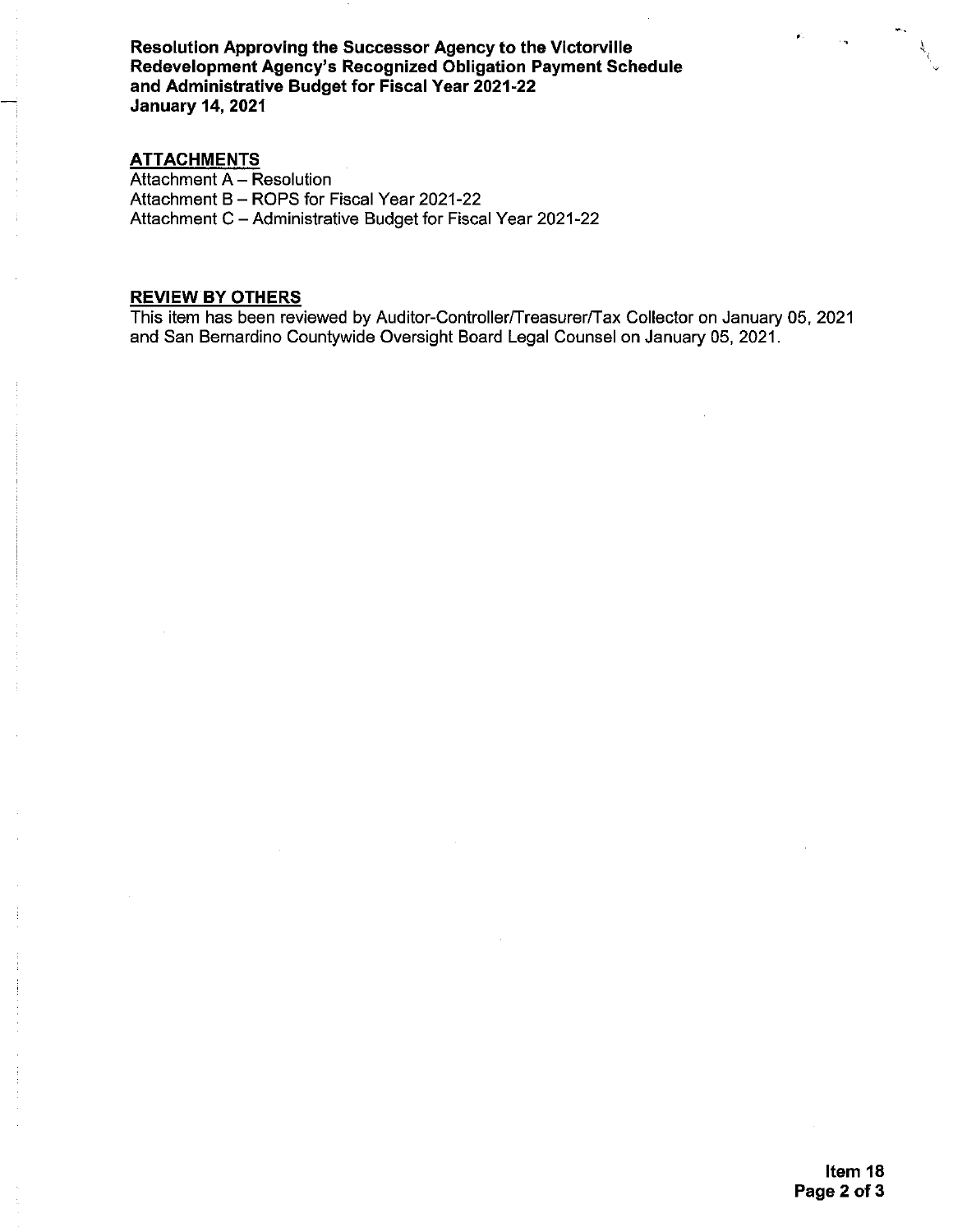Resolution Approving the Successor Agency to the Victorville Redevelopment Agency's Recognized Obligation Payment Schedule and Administrative Budget for Fiscal Year 2021-22 **January 14, 2021** 

### **ATTACHMENTS**

Attachment A - Resolution Attachment B - ROPS for Fiscal Year 2021-22 Attachment C - Administrative Budget for Fiscal Year 2021-22

#### **REVIEW BY OTHERS**

This item has been reviewed by Auditor-Controller/Treasurer/Tax Collector on January 05, 2021 and San Bernardino Countywide Oversight Board Legal Counsel on January 05, 2021.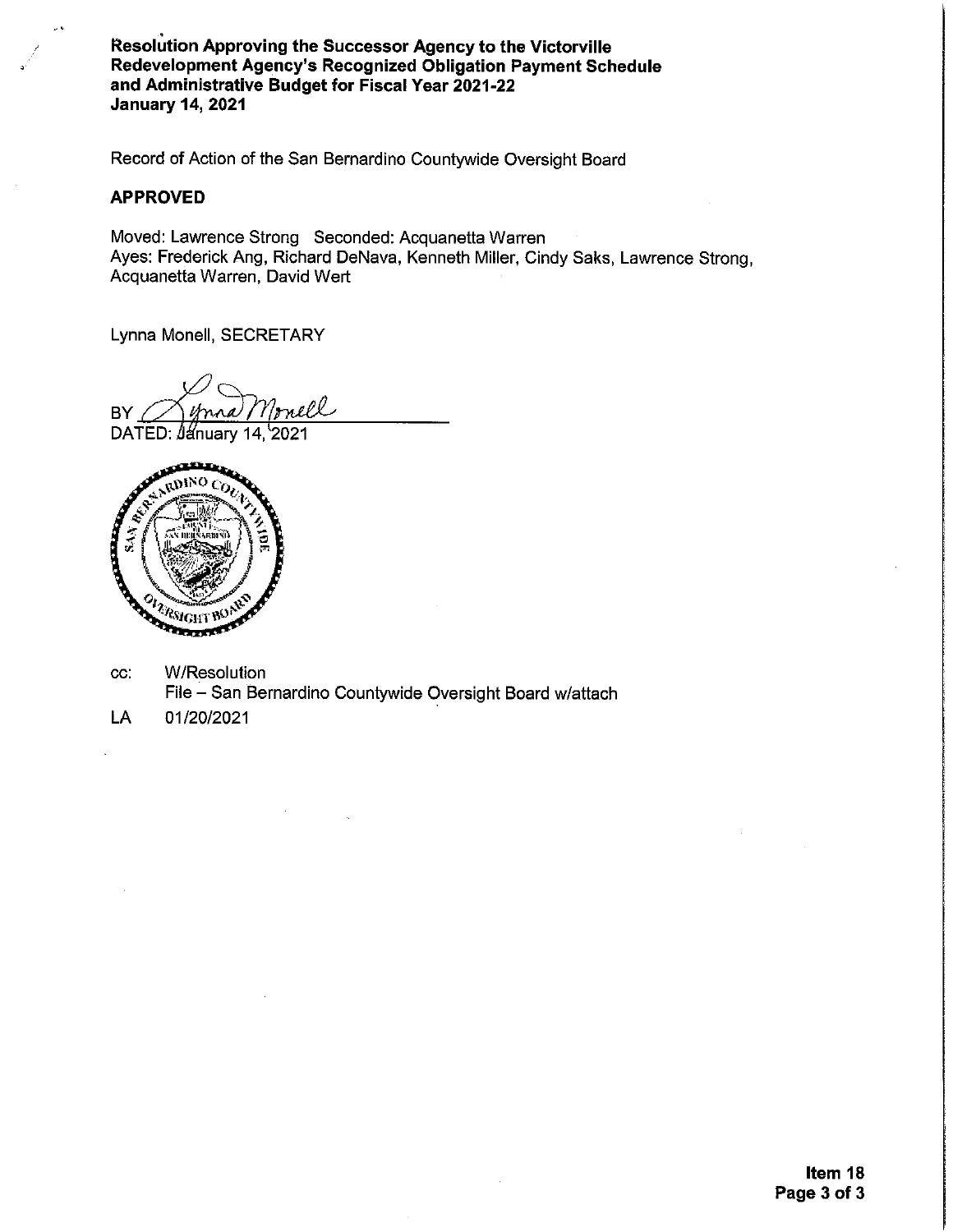Resolution Approving the Successor Agency to the Victorville Redevelopment Agency's Recognized Obligation Payment Schedule and Administrative Budget for Fiscal Year 2021-22 **January 14, 2021** 

Record of Action of the San Bernardino Countywide Oversight Board

#### **APPROVED**

Moved: Lawrence Strong Seconded: Acquanetta Warren Ayes: Frederick Ang, Richard DeNava, Kenneth Miller, Cindy Saks, Lawrence Strong, Acquanetta Warren, David Wert

Lynna Monell, SECRETARY

rnell **BY** DATED: *January* 14, 2021



- **W/Resolution**  $cc$ File - San Bernardino Countywide Oversight Board w/attach
- LA 01/20/2021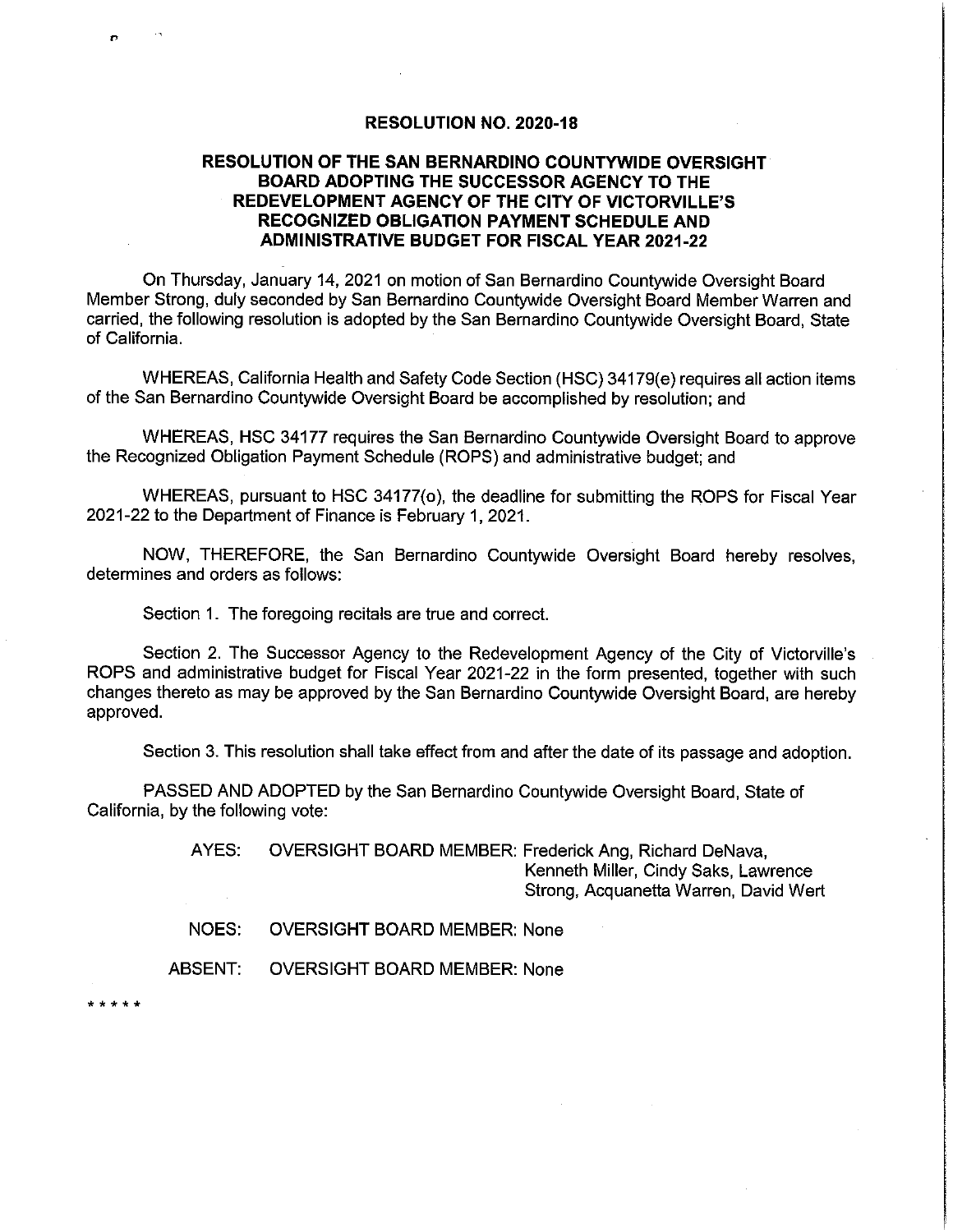#### **RESOLUTION NO. 2020-18**

### RESOLUTION OF THE SAN BERNARDINO COUNTYWIDE OVERSIGHT BOARD ADOPTING THE SUCCESSOR AGENCY TO THE REDEVELOPMENT AGENCY OF THE CITY OF VICTORVILLE'S **RECOGNIZED OBLIGATION PAYMENT SCHEDULE AND ADMINISTRATIVE BUDGET FOR FISCAL YEAR 2021-22**

On Thursday, January 14, 2021 on motion of San Bernardino Countywide Oversight Board Member Strong, duly seconded by San Bernardino Countywide Oversight Board Member Warren and carried, the following resolution is adopted by the San Bernardino Countywide Oversight Board, State of California.

WHEREAS, California Health and Safety Code Section (HSC) 34179(e) requires all action items of the San Bernardino Countywide Oversight Board be accomplished by resolution; and

WHEREAS, HSC 34177 requires the San Bernardino Countywide Oversight Board to approve the Recognized Obligation Payment Schedule (ROPS) and administrative budget; and

WHEREAS, pursuant to HSC 34177(o), the deadline for submitting the ROPS for Fiscal Year 2021-22 to the Department of Finance is February 1, 2021.

NOW, THEREFORE, the San Bernardino Countywide Oversight Board hereby resolves, determines and orders as follows:

Section 1. The foregoing recitals are true and correct.

Section 2. The Successor Agency to the Redevelopment Agency of the City of Victorville's ROPS and administrative budget for Fiscal Year 2021-22 in the form presented, together with such changes thereto as may be approved by the San Bernardino Countywide Oversight Board, are hereby approved.

Section 3. This resolution shall take effect from and after the date of its passage and adoption.

PASSED AND ADOPTED by the San Bernardino Countywide Oversight Board, State of California, by the following vote:

> AYES: OVERSIGHT BOARD MEMBER: Frederick Ang, Richard DeNava, Kenneth Miller, Cindy Saks, Lawrence Strong, Acquanetta Warren, David Wert

NOES: **OVERSIGHT BOARD MEMBER: None** 

ABSENT: **OVERSIGHT BOARD MEMBER: None** 

\* \* \* \* \*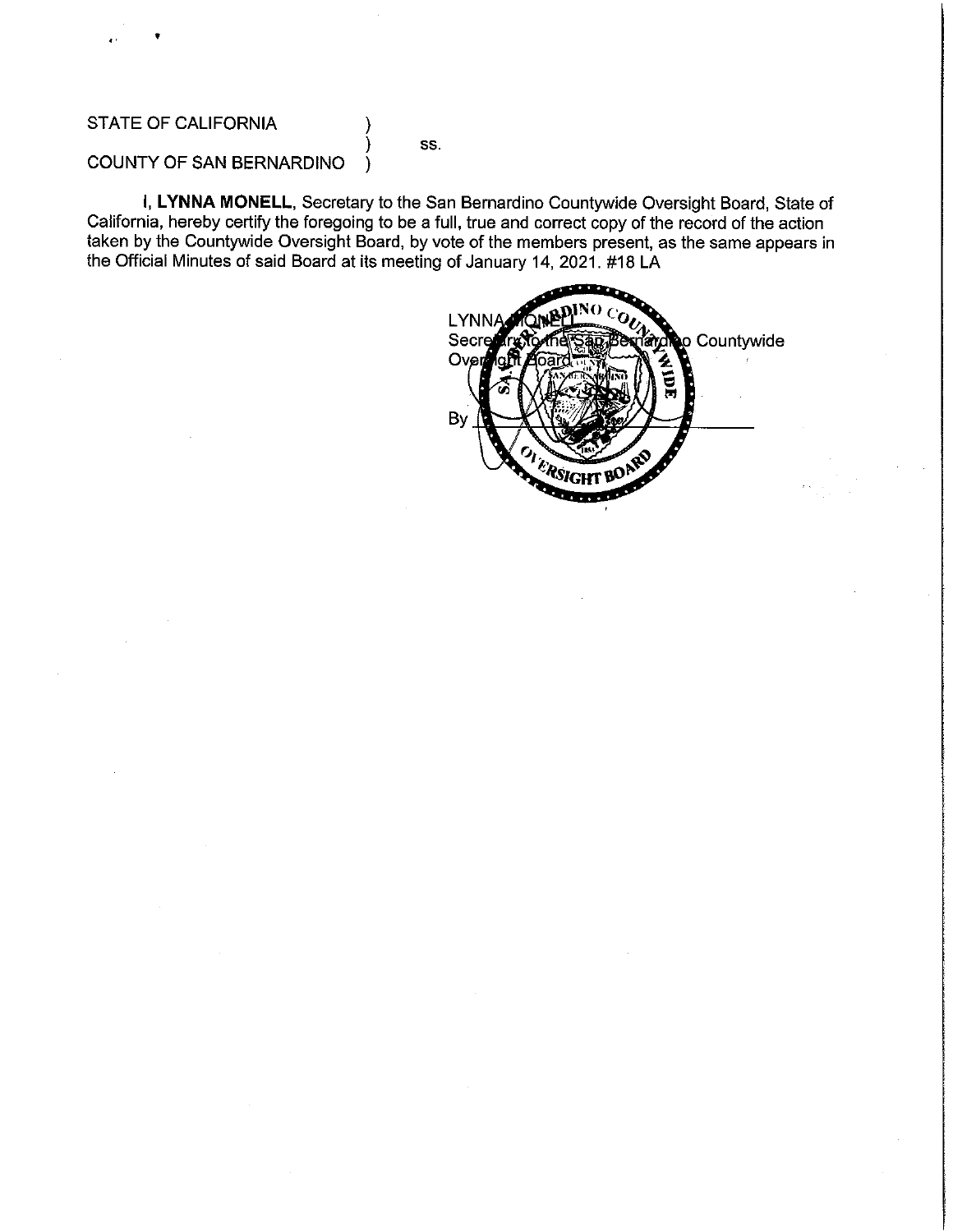## **STATE OF CALIFORNIA**

SS.

## COUNTY OF SAN BERNARDINO

I, LYNNA MONELL, Secretary to the San Bernardino Countywide Oversight Board, State of California, hereby certify the foregoing to be a full, true and correct copy of the record of the action taken by the Countywide Oversight Board, by vote of the members present, as the same appears in the Official Minutes of said Board at its meeting of January 14, 2021. #18 LA

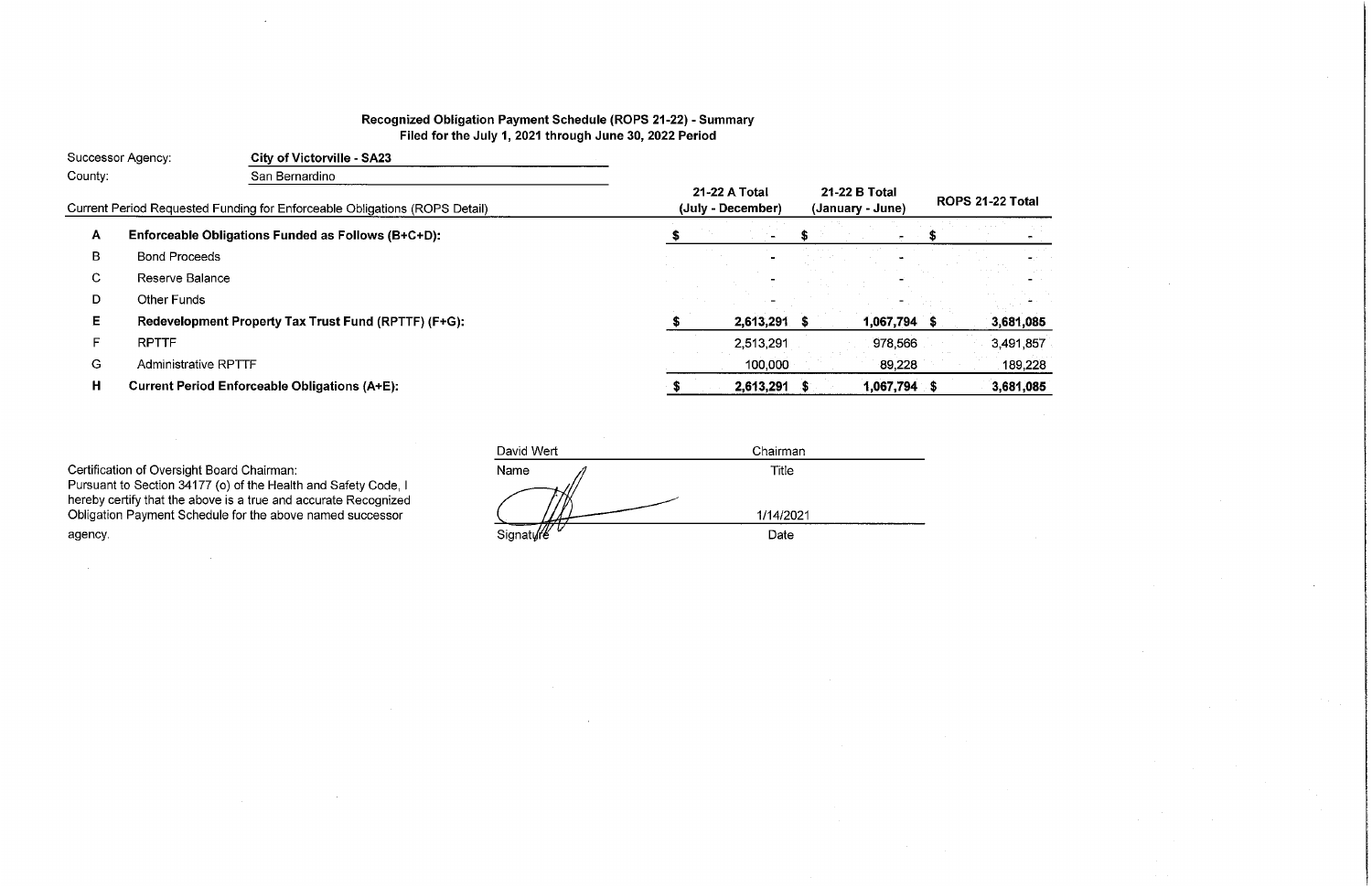# Recognized Obligation Payment Schedule (ROPS 21-22) - Summary Filed for the July 1, 2021 through June 30, 2022 Period

| Successor Agency: |                             | <b>City of Victorville - SA23</b>                                          |                                    |                                   |                   |  |      |
|-------------------|-----------------------------|----------------------------------------------------------------------------|------------------------------------|-----------------------------------|-------------------|--|------|
| County:           |                             | San Bernardino                                                             |                                    |                                   |                   |  |      |
|                   |                             | Current Period Requested Funding for Enforceable Obligations (ROPS Detail) | 21-22 A Total<br>(July - December) | 21-22 B Total<br>(January - June) | <b>ROPS 21-22</b> |  |      |
| A                 |                             | Enforceable Obligations Funded as Follows (B+C+D):                         |                                    |                                   |                   |  |      |
| B                 | <b>Bond Proceeds</b>        |                                                                            |                                    |                                   |                   |  |      |
| C                 | Reserve Balance             |                                                                            |                                    |                                   |                   |  |      |
| D                 | <b>Other Funds</b>          |                                                                            |                                    |                                   |                   |  |      |
| E                 |                             | Redevelopment Property Tax Trust Fund (RPTTF) (F+G):                       |                                    | 2,613,291                         | 1,067,794         |  | 3,68 |
| F                 | <b>RPTTF</b>                |                                                                            |                                    | 2,513,291                         | 978,566           |  | 3,49 |
| G                 | <b>Administrative RPTTF</b> |                                                                            |                                    | 100,000                           | 89,228            |  | 18   |
| H                 |                             | <b>Current Period Enforceable Obligations (A+E):</b>                       |                                    | 2,613,291                         | 1,067,794 \$      |  | 3,68 |
|                   |                             |                                                                            |                                    |                                   |                   |  |      |

Certification of Oversight Board Chairman:<br>Pursuant to Section 34177 (o) of the Health and Safety Code, I<br>hereby certify that the above is a true and accurate Recognized<br>Obligation Payment Schedule for the above named succ agency.

 $\sim 10^7$ 

 $\sim$   $\sim$ 

| David Wert                              | Chairman  |
|-----------------------------------------|-----------|
| Name                                    | Title     |
|                                         | 1/14/2021 |
| $\overline{\phantom{a}}$<br>Signature V | Date      |

# : Total

| 381,085 |  |
|---------|--|
|         |  |
|         |  |
| 191,857 |  |
|         |  |
|         |  |

189,228 681,085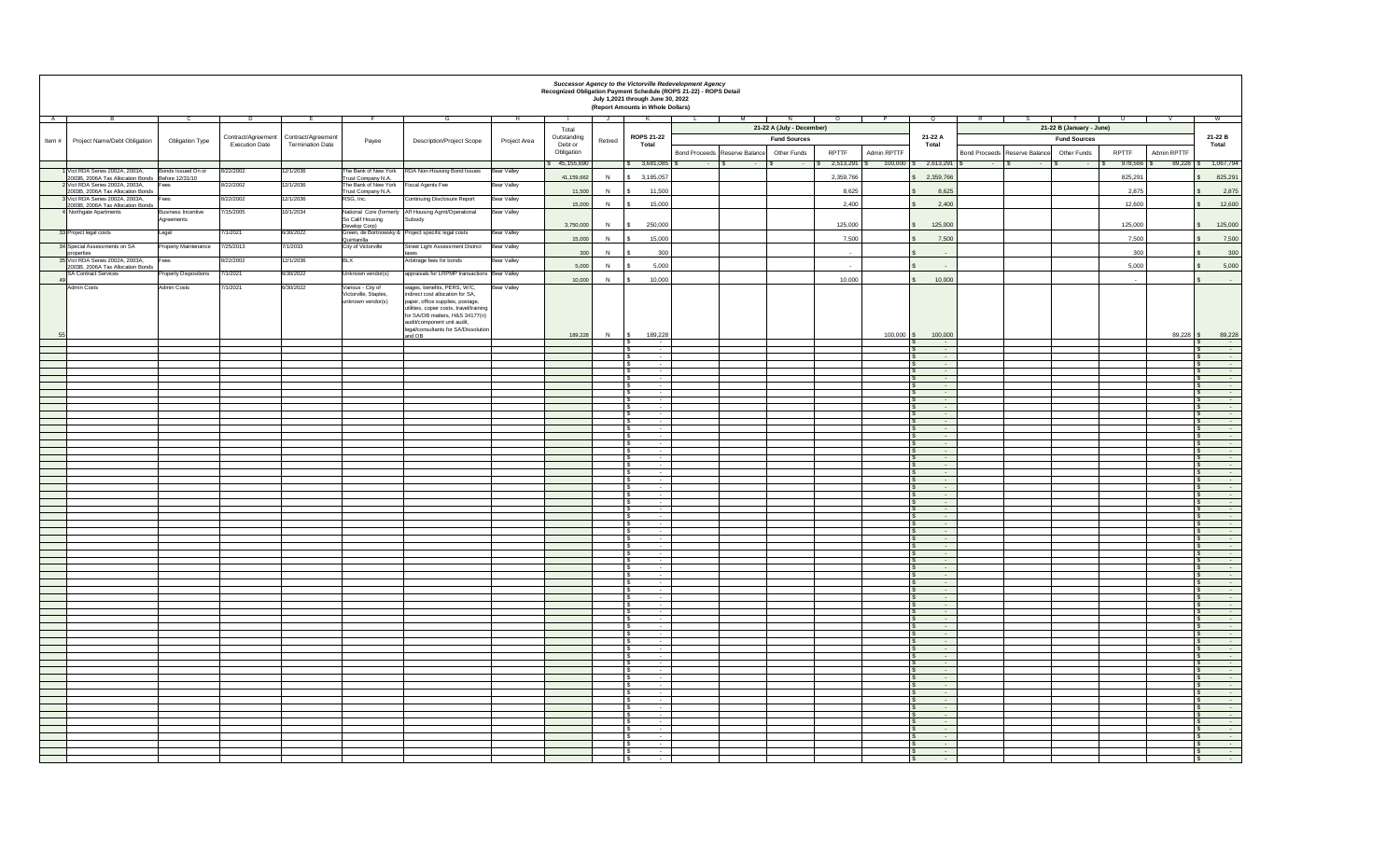|          |                                                                                      |                                         |                       |                                         |                                            |                                                                                                                                                                                                                              |                     | Recognized Obligation Payment Schedule (ROPS 21-22) - ROPS Detail |         | <b>Successor Agency to the Victorville Redevelopment Agency</b><br>July 1,2021 through June 30, 2022<br>(Report Amounts in Whole Dollars) |                          |                                      |                           |               |                    |                                                       |                                      |                                          |             |                                                    |
|----------|--------------------------------------------------------------------------------------|-----------------------------------------|-----------------------|-----------------------------------------|--------------------------------------------|------------------------------------------------------------------------------------------------------------------------------------------------------------------------------------------------------------------------------|---------------------|-------------------------------------------------------------------|---------|-------------------------------------------------------------------------------------------------------------------------------------------|--------------------------|--------------------------------------|---------------------------|---------------|--------------------|-------------------------------------------------------|--------------------------------------|------------------------------------------|-------------|----------------------------------------------------|
| <b>A</b> |                                                                                      |                                         | <u>. D</u>            |                                         |                                            |                                                                                                                                                                                                                              |                     |                                                                   | ال ا    |                                                                                                                                           |                          |                                      | 21-22 A (July - December) |               |                    |                                                       |                                      | 21-22 B (January - June)                 |             |                                                    |
|          | Item $\#$ Project Name/Debt Obligation                                               | <b>Obligation Type</b>                  |                       | Contract/Agreement   Contract/Agreement | Payee                                      | <b>Description/Project Scope</b>                                                                                                                                                                                             | <b>Project Area</b> | Total<br>Outstanding                                              | Retired | <b>ROPS 21-22</b>                                                                                                                         |                          |                                      | <b>Fund Sources</b>       |               |                    | 21-22 A                                               |                                      | <b>Fund Sources</b>                      |             | 21-22 B                                            |
|          |                                                                                      |                                         | <b>Execution Date</b> | <b>Termination Date</b>                 |                                            |                                                                                                                                                                                                                              |                     | Debt or<br>Obligation                                             |         | <b>Total</b>                                                                                                                              |                          | <b>Bond Proceeds Reserve Balance</b> | <b>Other Funds</b>        | <b>RPTTF</b>  | <b>Admin RPTTF</b> | <b>Total</b>                                          | <b>Bond Proceeds Reserve Balance</b> | <b>RPTTF</b><br><b>Other Funds</b>       | Admin RPTTF | <b>Total</b>                                       |
|          |                                                                                      |                                         |                       |                                         |                                            |                                                                                                                                                                                                                              |                     | \$ 45,155,690                                                     |         | $$3,681,085$ \ \ \$                                                                                                                       | <b>Contract Contract</b> | $-1.5$                               | <b>Service</b>            | $2,513,291$ \ |                    | $100,000$ \$ 2,613,291 \ \ \$                         | - 15<br>$-13$                        | $978,566$ \$<br>$\sim$ - $\sim$ - $\sim$ |             | $89,228$ \$ 1,067,794                              |
|          | Vict RDA Series 2002A, 2003A,<br>2003B, 2006A Tax Allocation Bonds   Before 12/31/10 | Bonds Issued On or                      | 8/22/2002             | 12/1/2036                               | Trust Company N.A.                         | The Bank of New York   RDA Non-Housing Bond Issues   Bear Valley                                                                                                                                                             |                     | 41,159,662                                                        |         | 3,185,057                                                                                                                                 |                          |                                      |                           | 2,359,766     |                    | \$2,359,766                                           |                                      | 825,291                                  |             | 825,291                                            |
|          | 2 Vict RDA Series 2002A, 2003A,<br>2003B, 2006A Tax Allocation Bonds                 | Fees                                    | 8/22/2002             | 12/1/2036                               | The Bank of New York<br>Trust Company N.A. | <b>Fiscal Agents Fee</b>                                                                                                                                                                                                     | <b>Bear Valley</b>  | 11,500                                                            |         | 11,500                                                                                                                                    |                          |                                      |                           | 8,625         |                    | 8,625                                                 |                                      | 2,875                                    |             | 2,875                                              |
|          | 3 Vict RDA Series 2002A, 2003A,<br>2003B, 2006A Tax Allocation Bonds                 | Fees                                    | 8/22/2002             | 12/1/2036                               | RSG, Inc.                                  | <b>Continuing Disclosure Report</b>                                                                                                                                                                                          | <b>Bear Valley</b>  | 15,000                                                            |         | 15,000                                                                                                                                    |                          |                                      |                           | 2,400         |                    | 2,400                                                 |                                      | 12,600                                   |             | 12,600                                             |
|          | 4 Northgate Apartments                                                               | <b>Business Incentive</b><br>Agreements | 7/15/2005             | 10/1/2034                               | So Calif Housing                           | National Core (formerly   Aff Housing Agmt/Operational<br>Subsidy                                                                                                                                                            | <b>Bear Valley</b>  |                                                                   |         |                                                                                                                                           |                          |                                      |                           |               |                    |                                                       |                                      |                                          |             |                                                    |
|          | 33 Project legal costs                                                               | Legal                                   | 7/1/2021              | 6/30/2022                               | Develop Corp)                              | Green, de Bortnowsky & Project specific legal costs                                                                                                                                                                          | <b>Bear Valley</b>  | 3,750,000                                                         |         | 250,000                                                                                                                                   |                          |                                      |                           | 125,000       |                    | 125,000                                               |                                      | 125,000                                  |             | 125,000                                            |
|          | 34 Special Assessments on SA                                                         | <b>Property Maintenance</b>             | 7/25/2013             | 7/1/2033                                | Quintanilla<br>City of Victorville         | Street Light Assessment District                                                                                                                                                                                             | <b>Bear Valley</b>  | 15,000                                                            |         | 15,000                                                                                                                                    |                          |                                      |                           | 7,500         |                    | 7,500                                                 |                                      | 7,500                                    |             | 7,500                                              |
|          | properties<br>35 Vict RDA Series 2002A, 2003A,                                       | Fees                                    | 8/22/2002             | 12/1/2036                               | <b>BLX</b>                                 | Arbitrage fees for bonds                                                                                                                                                                                                     | <b>Bear Valley</b>  | 300                                                               |         | 300                                                                                                                                       |                          |                                      |                           | $\sim$        |                    | $\sim$                                                |                                      | 300                                      |             | 300                                                |
|          | 2003B, 2006A Tax Allocation Bonds<br>SA Contract Services                            | <b>Property Dispositions</b>            | 7/1/2021              | 6/30/2022                               | Unknown vendor(s)                          | appraisals for LRPMP transactions Bear Valley                                                                                                                                                                                |                     | 5,000                                                             |         | 5,000                                                                                                                                     |                          |                                      |                           | $\sim$        |                    | $\sim$ $-$                                            |                                      | 5,000                                    |             | 5,000                                              |
|          | Admin Costs                                                                          | <b>Admin Costs</b>                      | 7/1/2021              | 6/30/2022                               | Various - City of                          | wages, benefits, PERS, W/C,                                                                                                                                                                                                  | <b>Bear Valley</b>  | 10,000                                                            |         | 10,000                                                                                                                                    |                          |                                      |                           | 10,000        |                    | 10,000                                                |                                      | $\sim$ $-$                               |             | <b>Service State</b>                               |
|          |                                                                                      |                                         |                       |                                         | Victorville, Staples,<br>unknown vendor(s) | indirect cost allocation for SA,<br>paper, office supplies, postage,<br>utilities, copier costs, travel/training<br>for SA/OB matters, H&S 34177(n)  <br>audit/component unit audit,<br>legal/consultants for SA/Dissolution |                     | 189,228                                                           |         | 189,228                                                                                                                                   |                          |                                      |                           |               | 100,000            | 100,000                                               |                                      |                                          |             | 89,228                                             |
|          |                                                                                      |                                         |                       |                                         |                                            | and OB                                                                                                                                                                                                                       |                     |                                                                   |         | $\sim$ $-$                                                                                                                                |                          |                                      |                           |               |                    | $\sim$ 100 $\sim$                                     |                                      |                                          |             |                                                    |
|          |                                                                                      |                                         |                       |                                         |                                            |                                                                                                                                                                                                                              |                     |                                                                   |         | $\sim$<br>$\sim$                                                                                                                          |                          |                                      |                           |               |                    | <b>State State</b><br>$\sim$ $ \sim$                  |                                      |                                          |             |                                                    |
|          |                                                                                      |                                         |                       |                                         |                                            |                                                                                                                                                                                                                              |                     |                                                                   |         | $\sim$<br>$\sim$                                                                                                                          |                          |                                      |                           |               |                    | $\sim$ 100 $\sim$<br>$\sim 100$                       |                                      |                                          |             |                                                    |
|          |                                                                                      |                                         |                       |                                         |                                            |                                                                                                                                                                                                                              |                     |                                                                   |         | $\sim$ $-$<br>$\sim$ $\sim$                                                                                                               |                          |                                      |                           |               |                    | $\sim$ 100 $\sim$<br>$\sim$ 100 $\sim$                |                                      |                                          |             |                                                    |
|          |                                                                                      |                                         |                       |                                         |                                            |                                                                                                                                                                                                                              |                     |                                                                   |         | $\sim$ $-$                                                                                                                                |                          |                                      |                           |               |                    | $\sim 100$<br><b>Service</b>                          |                                      |                                          |             |                                                    |
|          |                                                                                      |                                         |                       |                                         |                                            |                                                                                                                                                                                                                              |                     |                                                                   |         | $\sim$<br>$\sim$ $-$                                                                                                                      |                          |                                      |                           |               |                    | $\sim 100$<br>$\sim$ 100 $\sim$                       |                                      |                                          |             |                                                    |
|          |                                                                                      |                                         |                       |                                         |                                            |                                                                                                                                                                                                                              |                     |                                                                   |         | $\sim$ $-$<br>$\sim$ $-$                                                                                                                  |                          |                                      |                           |               |                    | <b>State State</b><br>$\sim$ $-$                      |                                      |                                          |             |                                                    |
|          |                                                                                      |                                         |                       |                                         |                                            |                                                                                                                                                                                                                              |                     |                                                                   |         |                                                                                                                                           |                          |                                      |                           |               |                    | $\sim$ $-$                                            |                                      |                                          |             |                                                    |
|          |                                                                                      |                                         |                       |                                         |                                            |                                                                                                                                                                                                                              |                     |                                                                   |         | $\sim$ $-$<br>$\sim$                                                                                                                      |                          |                                      |                           |               |                    | <b>State State</b><br>$\sim$ $ \sim$                  |                                      |                                          |             |                                                    |
|          |                                                                                      |                                         |                       |                                         |                                            |                                                                                                                                                                                                                              |                     |                                                                   |         | $\sim$                                                                                                                                    |                          |                                      |                           |               |                    | <b>State State</b><br>$\sim 100$                      |                                      |                                          |             |                                                    |
|          |                                                                                      |                                         |                       |                                         |                                            |                                                                                                                                                                                                                              |                     |                                                                   |         | $\sim$ $-$                                                                                                                                |                          |                                      |                           |               |                    | <b>State State</b><br>$\sim$ $ \sim$                  |                                      |                                          |             |                                                    |
|          |                                                                                      |                                         |                       |                                         |                                            |                                                                                                                                                                                                                              |                     |                                                                   |         | $\sim$ $\sim$<br>$\sim$ $\sim$                                                                                                            |                          |                                      |                           |               |                    | $\sim 100$<br>$\sim 100$                              |                                      |                                          |             |                                                    |
|          |                                                                                      |                                         |                       |                                         |                                            |                                                                                                                                                                                                                              |                     |                                                                   |         | $\sim$ $\sim$                                                                                                                             |                          |                                      |                           |               |                    | $\sim$ 100 $\sim$                                     |                                      |                                          |             |                                                    |
|          |                                                                                      |                                         |                       |                                         |                                            |                                                                                                                                                                                                                              |                     |                                                                   |         | $\sim$ $-$                                                                                                                                |                          |                                      |                           |               |                    | $\sim$ $ \sim$<br>$\sim 100$                          |                                      |                                          |             |                                                    |
|          |                                                                                      |                                         |                       |                                         |                                            |                                                                                                                                                                                                                              |                     |                                                                   |         | $\sim$<br>$\sim$                                                                                                                          |                          |                                      |                           |               |                    | <b>State State</b><br>$\sim 100$                      |                                      |                                          |             |                                                    |
|          |                                                                                      |                                         |                       |                                         |                                            |                                                                                                                                                                                                                              |                     |                                                                   |         | $\sim$<br>$\sim$                                                                                                                          |                          |                                      |                           |               |                    | $\sim$ $ \sim$<br>$\sim$ 100 $\sim$                   |                                      |                                          |             |                                                    |
|          |                                                                                      |                                         |                       |                                         |                                            |                                                                                                                                                                                                                              |                     |                                                                   |         |                                                                                                                                           |                          |                                      |                           |               |                    | $\sim$                                                |                                      |                                          |             |                                                    |
|          |                                                                                      |                                         |                       |                                         |                                            |                                                                                                                                                                                                                              |                     |                                                                   |         | $\sim$ $\sim$                                                                                                                             |                          |                                      |                           |               |                    | <b>Contract Contract</b><br><b>Service Contracts</b>  |                                      |                                          |             | <b>Service Contracts</b>                           |
|          |                                                                                      |                                         |                       |                                         |                                            |                                                                                                                                                                                                                              |                     |                                                                   |         |                                                                                                                                           |                          |                                      |                           |               |                    | $\sim$ 100 $\sim$                                     |                                      |                                          |             |                                                    |
|          |                                                                                      |                                         |                       |                                         |                                            |                                                                                                                                                                                                                              |                     |                                                                   |         |                                                                                                                                           |                          |                                      |                           |               |                    | <b>Service</b><br>$\sim 100$ km s $^{-1}$             |                                      |                                          |             | <b>Service Control</b><br><b>Service</b> State     |
|          |                                                                                      |                                         |                       |                                         |                                            |                                                                                                                                                                                                                              |                     |                                                                   |         |                                                                                                                                           |                          |                                      |                           |               |                    | $\sim 100$ m $^{-1}$<br>$\sim 100$ m $^{-1}$          |                                      |                                          |             |                                                    |
|          |                                                                                      |                                         |                       |                                         |                                            |                                                                                                                                                                                                                              |                     |                                                                   |         |                                                                                                                                           |                          |                                      |                           |               |                    | <b>Service Contract Contract</b><br>$\sim$ 100 $\sim$ |                                      |                                          |             | <b>Service State</b><br>$\sim 1000$ m $^{-1}$      |
|          |                                                                                      |                                         |                       |                                         |                                            |                                                                                                                                                                                                                              |                     |                                                                   |         |                                                                                                                                           |                          |                                      |                           |               |                    | <b>Service</b><br><b>Service</b>                      |                                      |                                          |             |                                                    |
|          |                                                                                      |                                         |                       |                                         |                                            |                                                                                                                                                                                                                              |                     |                                                                   |         |                                                                                                                                           |                          |                                      |                           |               |                    | <b>Service</b>                                        |                                      |                                          |             |                                                    |
|          |                                                                                      |                                         |                       |                                         |                                            |                                                                                                                                                                                                                              |                     |                                                                   |         |                                                                                                                                           |                          |                                      |                           |               |                    | <b>Service State</b>                                  |                                      |                                          |             |                                                    |
|          |                                                                                      |                                         |                       |                                         |                                            |                                                                                                                                                                                                                              |                     |                                                                   |         | $\sim$ $-$<br>$\sim$ $-$                                                                                                                  |                          |                                      |                           |               |                    | <b>Service</b><br>$\sim 100$ m $^{-1}$                |                                      |                                          |             | $\sim 100$ m $^{-1}$                               |
|          |                                                                                      |                                         |                       |                                         |                                            |                                                                                                                                                                                                                              |                     |                                                                   |         |                                                                                                                                           |                          |                                      |                           |               |                    | $\sim 100$ km s $^{-1}$<br><b>Service Committee</b>   |                                      |                                          |             | $\sim 100$ m $^{-1}$<br><b>Service Contracts</b>   |
|          |                                                                                      |                                         |                       |                                         |                                            |                                                                                                                                                                                                                              |                     |                                                                   |         | <b>Service</b> State                                                                                                                      |                          |                                      |                           |               |                    | <b>Service Contract</b><br>$\sim 100$ km s $^{-1}$    |                                      |                                          |             | <b>Service</b> State<br><b>Service</b> State       |
|          |                                                                                      |                                         |                       |                                         |                                            |                                                                                                                                                                                                                              |                     |                                                                   |         |                                                                                                                                           |                          |                                      |                           |               |                    | $\sim 100$ km s $^{-1}$                               |                                      |                                          |             |                                                    |
|          |                                                                                      |                                         |                       |                                         |                                            |                                                                                                                                                                                                                              |                     |                                                                   |         | $\sim$ $-$<br><b>Service</b> State                                                                                                        |                          |                                      |                           |               |                    | <b>State State</b><br><b>Service State</b>            |                                      |                                          |             | <b>Service</b>                                     |
|          |                                                                                      |                                         |                       |                                         |                                            |                                                                                                                                                                                                                              |                     |                                                                   |         |                                                                                                                                           |                          |                                      |                           |               |                    | $\sim 100$ km s $^{-1}$<br>$\sim 100$ m $^{-1}$       |                                      |                                          |             | <b>Service Contract</b><br>$\sim 100$ km s $^{-1}$ |
|          |                                                                                      |                                         |                       |                                         |                                            |                                                                                                                                                                                                                              |                     |                                                                   |         | <b>Service</b> State<br>$\sim 100$ m $^{-1}$                                                                                              |                          |                                      |                           |               |                    | $\sim 100$ km s $^{-1}$<br><b>Service</b> State       |                                      |                                          |             | <b>Service State</b><br><b>Service State State</b> |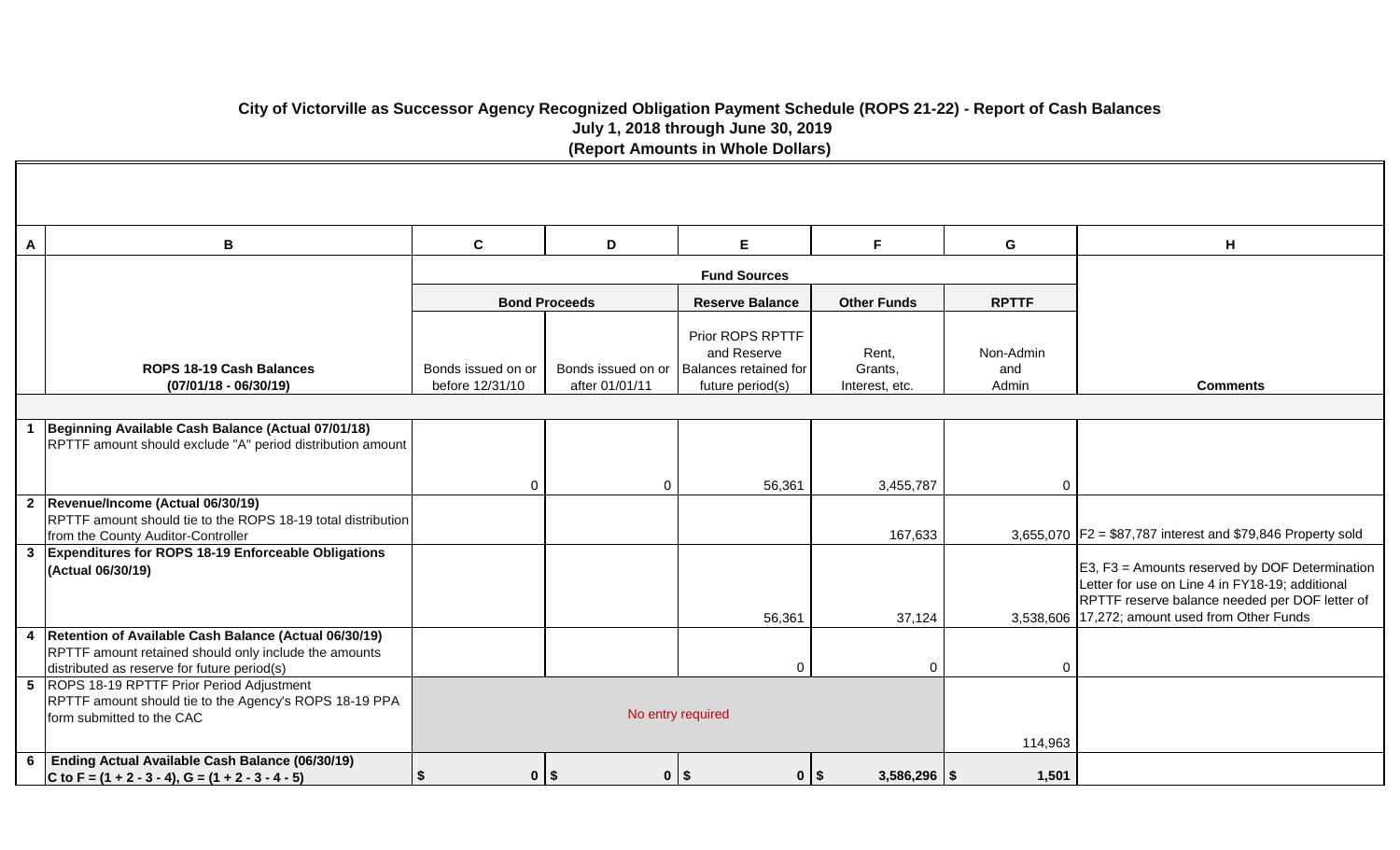# **City of Victorville as Successor Agency Recognized Obligation Payment Schedule (ROPS 21-22) - Report of Cash Balances July 1, 2018 through June 30, 2019 (Report Amounts in Whole Dollars)**

| A | В                                                                                                                                                               | $\mathbf c$                           | D                                    | E                                                                            | F.                                 | G                         | H                                                                                                                                                                                                     |
|---|-----------------------------------------------------------------------------------------------------------------------------------------------------------------|---------------------------------------|--------------------------------------|------------------------------------------------------------------------------|------------------------------------|---------------------------|-------------------------------------------------------------------------------------------------------------------------------------------------------------------------------------------------------|
|   |                                                                                                                                                                 |                                       |                                      | <b>Fund Sources</b>                                                          |                                    |                           |                                                                                                                                                                                                       |
|   |                                                                                                                                                                 |                                       | <b>Bond Proceeds</b>                 | <b>Reserve Balance</b>                                                       | <b>Other Funds</b>                 | <b>RPTTF</b>              |                                                                                                                                                                                                       |
|   | ROPS 18-19 Cash Balances<br>$(07/01/18 - 06/30/19)$                                                                                                             | Bonds issued on or<br>before 12/31/10 | Bonds issued on or<br>after 01/01/11 | Prior ROPS RPTTF<br>and Reserve<br>Balances retained for<br>future period(s) | Rent,<br>Grants,<br>Interest, etc. | Non-Admin<br>and<br>Admin | <b>Comments</b>                                                                                                                                                                                       |
|   |                                                                                                                                                                 |                                       |                                      |                                                                              |                                    |                           |                                                                                                                                                                                                       |
|   | Beginning Available Cash Balance (Actual 07/01/18)<br>RPTTF amount should exclude "A" period distribution amount                                                |                                       |                                      |                                                                              |                                    |                           |                                                                                                                                                                                                       |
|   |                                                                                                                                                                 | $\mathbf 0$                           | $\Omega$                             | 56,361                                                                       | 3,455,787                          | $\Omega$                  |                                                                                                                                                                                                       |
|   | 2  Revenue/Income (Actual 06/30/19)<br>RPTTF amount should tie to the ROPS 18-19 total distribution<br>from the County Auditor-Controller                       |                                       |                                      |                                                                              | 167,633                            |                           | 3,655,070 $ F2 = $87,787$ interest and \$79,846 Property sold                                                                                                                                         |
|   | 3 Expenditures for ROPS 18-19 Enforceable Obligations<br>(Actual 06/30/19)                                                                                      |                                       |                                      | 56,361                                                                       | 37,124                             |                           | E3, F3 = Amounts reserved by DOF Determination<br>Letter for use on Line 4 in FY18-19; additional<br>RPTTF reserve balance needed per DOF letter of<br>3,538,606 17,272; amount used from Other Funds |
|   | 4 Retention of Available Cash Balance (Actual 06/30/19)<br>RPTTF amount retained should only include the amounts<br>distributed as reserve for future period(s) |                                       |                                      | $\mathbf 0$                                                                  | $\mathbf 0$                        | 0                         |                                                                                                                                                                                                       |
|   | 5 ROPS 18-19 RPTTF Prior Period Adjustment<br>RPTTF amount should tie to the Agency's ROPS 18-19 PPA<br>form submitted to the CAC                               |                                       |                                      | No entry required                                                            | 114,963                            |                           |                                                                                                                                                                                                       |
|   | 6 Ending Actual Available Cash Balance (06/30/19)<br>C to F = $(1 + 2 - 3 - 4)$ , G = $(1 + 2 - 3 - 4 - 5)$                                                     | $0$   \$<br>$\boldsymbol{\mathsf{s}}$ |                                      | $0$   \$<br>$0$   \$                                                         | $3,586,296$ \\$                    | 1,501                     |                                                                                                                                                                                                       |